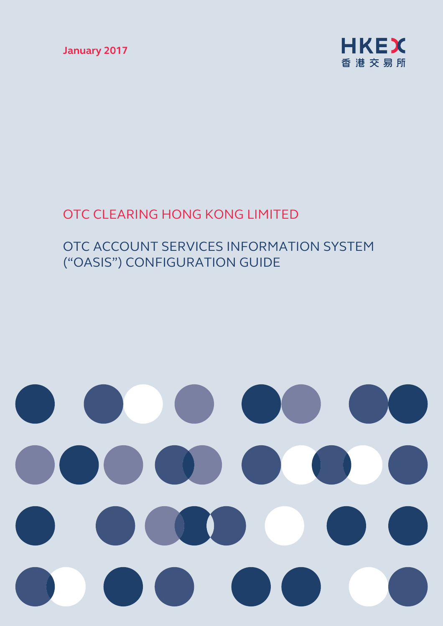**January 2017**



# OTC CLEARING HONG KONG LIMITED

# OTC ACCOUNT SERVICES INFORMATION SYSTEM ("OASIS") CONFIGURATION GUIDE

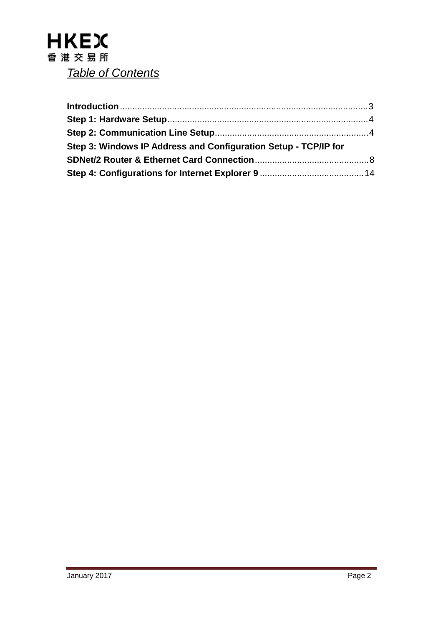| Step 3: Windows IP Address and Configuration Setup - TCP/IP for |  |
|-----------------------------------------------------------------|--|
|                                                                 |  |
|                                                                 |  |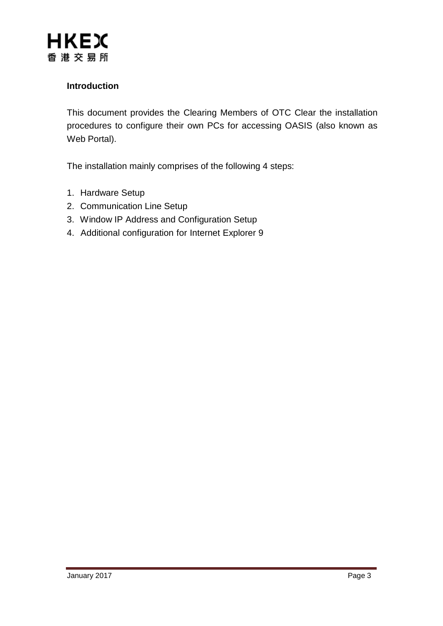#### **Introduction**

This document provides the Clearing Members of OTC Clear the installation procedures to configure their own PCs for accessing OASIS (also known as Web Portal).

The installation mainly comprises of the following 4 steps:

- 1. Hardware Setup
- 2. Communication Line Setup
- 3. Window IP Address and Configuration Setup
- 4. Additional configuration for Internet Explorer 9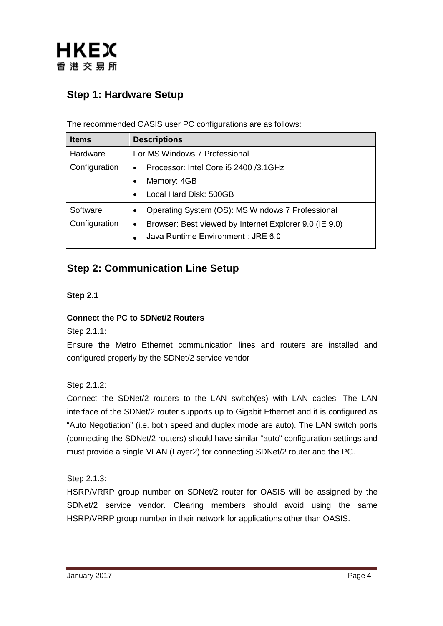

# **Step 1: Hardware Setup**

The recommended OASIS user PC configurations are as follows:

| <b>Items</b>  | <b>Descriptions</b>                                                 |  |  |
|---------------|---------------------------------------------------------------------|--|--|
| Hardware      | For MS Windows 7 Professional                                       |  |  |
| Configuration | Processor: Intel Core i5 2400 /3.1GHz<br>$\bullet$                  |  |  |
|               | Memory: 4GB                                                         |  |  |
|               | Local Hard Disk: 500GB<br>$\bullet$                                 |  |  |
| Software      | Operating System (OS): MS Windows 7 Professional<br>$\bullet$       |  |  |
| Configuration | Browser: Best viewed by Internet Explorer 9.0 (IE 9.0)<br>$\bullet$ |  |  |
|               | Java Runtime Environment : JRE 6.0                                  |  |  |
|               |                                                                     |  |  |

## **Step 2: Communication Line Setup**

#### **Step 2.1**

#### **Connect the PC to SDNet/2 Routers**

Step 2.1.1:

Ensure the Metro Ethernet communication lines and routers are installed and configured properly by the SDNet/2 service vendor

Step 2.1.2:

Connect the SDNet/2 routers to the LAN switch(es) with LAN cables. The LAN interface of the SDNet/2 router supports up to Gigabit Ethernet and it is configured as "Auto Negotiation" (i.e. both speed and duplex mode are auto). The LAN switch ports (connecting the SDNet/2 routers) should have similar "auto" configuration settings and must provide a single VLAN (Layer2) for connecting SDNet/2 router and the PC.

Step 2.1.3:

HSRP/VRRP group number on SDNet/2 router for OASIS will be assigned by the SDNet/2 service vendor. Clearing members should avoid using the same HSRP/VRRP group number in their network for applications other than OASIS.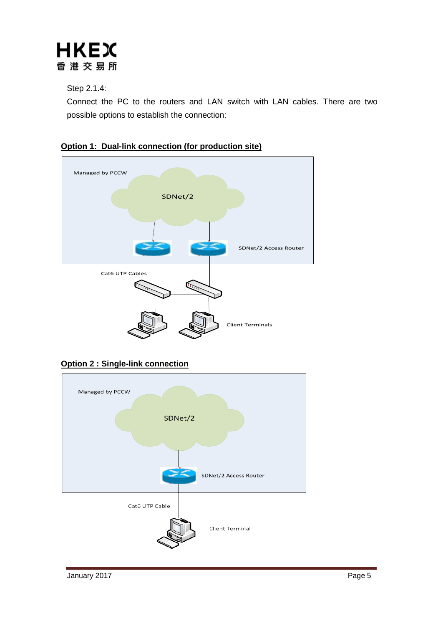

Step 2.1.4:

Connect the PC to the routers and LAN switch with LAN cables. There are two possible options to establish the connection:





**Option 2 : Single-link connection**

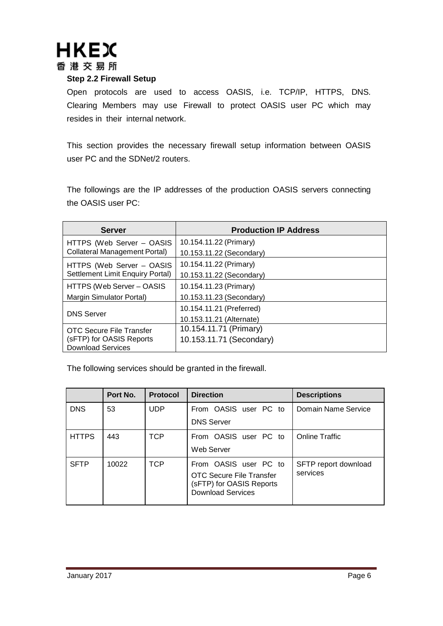

#### **Step 2.2 Firewall Setup**

Open protocols are used to access OASIS, i.e. TCP/IP, HTTPS, DNS. Clearing Members may use Firewall to protect OASIS user PC which may resides in their internal network.

This section provides the necessary firewall setup information between OASIS user PC and the SDNet/2 routers.

The followings are the IP addresses of the production OASIS servers connecting the OASIS user PC:

| <b>Server</b>                        | <b>Production IP Address</b> |
|--------------------------------------|------------------------------|
| HTTPS (Web Server - OASIS            | 10.154.11.22 (Primary)       |
| <b>Collateral Management Portal)</b> | 10.153.11.22 (Secondary)     |
| HTTPS (Web Server - OASIS            | 10.154.11.22 (Primary)       |
| Settlement Limit Enquiry Portal)     | 10.153.11.22 (Secondary)     |
| HTTPS (Web Server - OASIS            | 10.154.11.23 (Primary)       |
| Margin Simulator Portal)             | 10.153.11.23 (Secondary)     |
|                                      | 10.154.11.21 (Preferred)     |
| <b>DNS Server</b>                    | 10.153.11.21 (Alternate)     |
| OTC Secure File Transfer             | 10.154.11.71 (Primary)       |
| (sFTP) for OASIS Reports             | 10.153.11.71 (Secondary)     |
| <b>Download Services</b>             |                              |

The following services should be granted in the firewall.

|              | Port No. | <b>Protocol</b> | <b>Direction</b>                                                                                          | <b>Descriptions</b>              |
|--------------|----------|-----------------|-----------------------------------------------------------------------------------------------------------|----------------------------------|
| <b>DNS</b>   | 53       | <b>UDP</b>      | From OASIS user PC to<br><b>DNS Server</b>                                                                | Domain Name Service              |
| <b>HTTPS</b> | 443      | <b>TCP</b>      | From OASIS user PC to<br>Web Server                                                                       | <b>Online Traffic</b>            |
| <b>SFTP</b>  | 10022    | <b>TCP</b>      | From OASIS user PC to<br>OTC Secure File Transfer<br>(sFTP) for OASIS Reports<br><b>Download Services</b> | SFTP report download<br>services |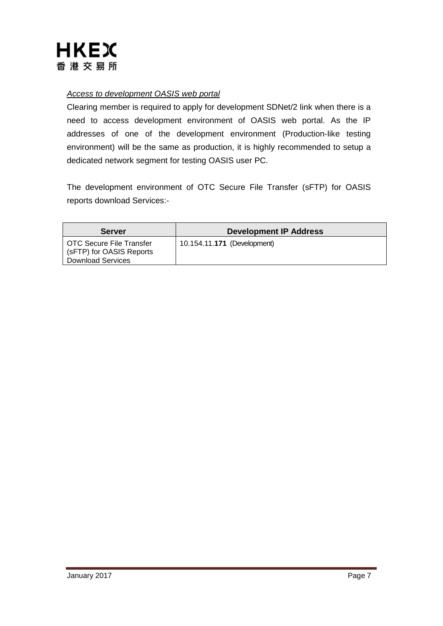

#### *Access to development OASIS web portal*

Clearing member is required to apply for development SDNet/2 link when there is a need to access development environment of OASIS web portal. As the IP addresses of one of the development environment (Production-like testing environment) will be the same as production, it is highly recommended to setup a dedicated network segment for testing OASIS user PC.

The development environment of OTC Secure File Transfer (sFTP) for OASIS reports download Services:-

| <b>Server</b>                                                                      | <b>Development IP Address</b> |
|------------------------------------------------------------------------------------|-------------------------------|
| l OTC Secure File Transfer<br>(sFTP) for OASIS Reports<br><b>Download Services</b> | 10.154.11.171 (Development)   |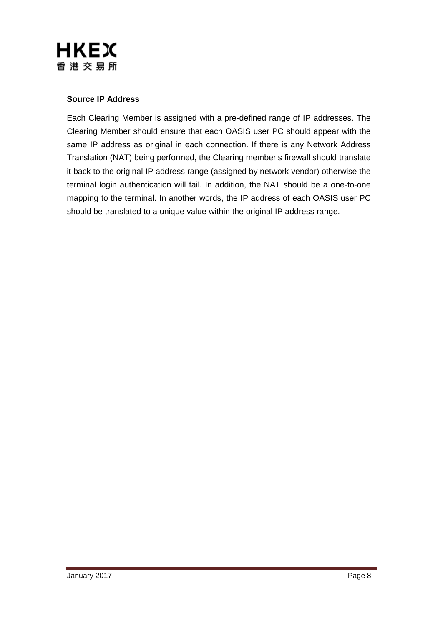

#### **Source IP Address**

Each Clearing Member is assigned with a pre-defined range of IP addresses. The Clearing Member should ensure that each OASIS user PC should appear with the same IP address as original in each connection. If there is any Network Address Translation (NAT) being performed, the Clearing member's firewall should translate it back to the original IP address range (assigned by network vendor) otherwise the terminal login authentication will fail. In addition, the NAT should be a one-to-one mapping to the terminal. In another words, the IP address of each OASIS user PC should be translated to a unique value within the original IP address range.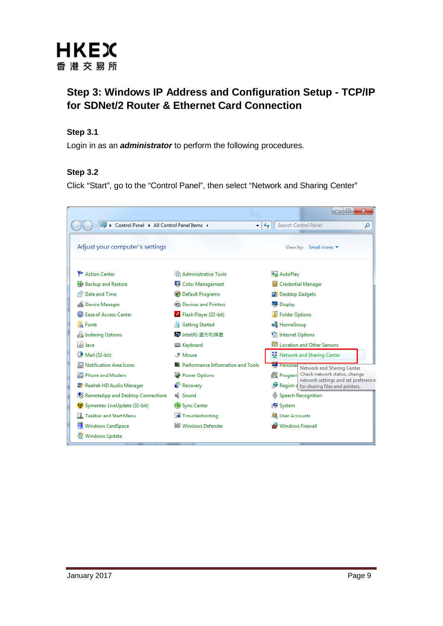

## **Step 3: Windows IP Address and Configuration Setup - TCP/IP for SDNet/2 Router & Ethernet Card Connection**

#### **Step 3.1**

Login in as an *administrator* to perform the following procedures.

#### **Step 3.2**

Click "Start", go to the "Control Panel", then select "Network and Sharing Center"

|                                             |                                             | $\mathbf{x}$<br>$\Box$<br>$\overline{\phantom{a}}$                          |
|---------------------------------------------|---------------------------------------------|-----------------------------------------------------------------------------|
| ▶ Control Panel ▶ All Control Panel Items ▶ | ¥۱                                          | Search Control Panel<br>$\ddot{+}$<br>م                                     |
| Adjust your computer's settings             |                                             | View by: Small icons ▼                                                      |
| Action Center                               | 统 Administrative Tools                      | AutoPlay                                                                    |
| <b>Backup and Restore</b>                   | Color Management                            | Credential Manager                                                          |
| Date and Time                               | Default Programs                            | <b>Desktop Gadgets</b>                                                      |
| 4 Device Manager                            | Devices and Printers                        | Display                                                                     |
| <b>B</b> Ease of Access Center              | Flash Player (32-bit)                       | Folder Options                                                              |
| <b>A</b> Fonts                              | <b>Getting Started</b>                      | <b>R</b> HomeGroup                                                          |
| <b>P.</b> Indexing Options                  | ■ Intel(R) 圖形和媒體                            | Internet Options                                                            |
| Lava                                        | <b>Explored</b> Keyboard                    | <b>MILocation and Other Sensors</b>                                         |
| Mail (32-bit)                               | <b><i>P</i></b> Mouse                       | Network and Sharing Center                                                  |
| Notification Area Icons                     | <b>A. Performance Information and Tools</b> | <b>Personal</b><br>Network and Sharing Center                               |
| Phone and Modem                             | Power Options                               | Program Check network status, change<br>network settings and set preference |
| Realtek HD Audio Manager                    | Recovery                                    | Region a for sharing files and printers.                                    |
| RemoteApp and Desktop Connections           | <b>E</b> Sound                              | <b>b</b> Speech Recognition                                                 |
| (2) Symantec LiveUpdate (32-bit)            | Sync Center                                 | 图 System                                                                    |
| <b>Taskbar and Start Menu</b>               | Troubleshooting                             | <b>Let</b> User Accounts                                                    |
| <b>Windows CardSpace</b>                    | <b>Windows Defender</b>                     | <b>Windows Firewall</b>                                                     |
| Windows Update                              |                                             |                                                                             |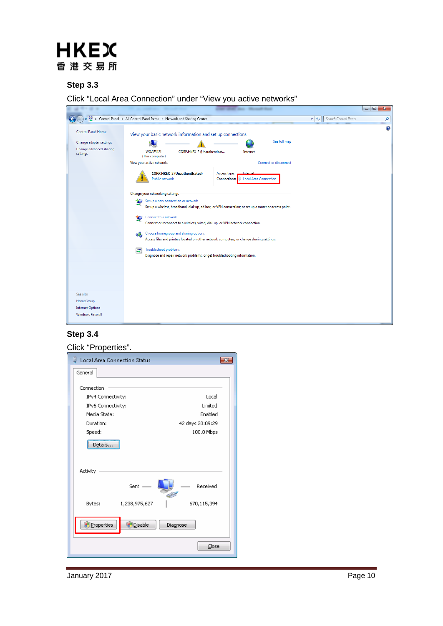# **HKEX** 香港交易所

#### **Step 3.3**

Click "Local Area Connection" under "View you active networks"

|                                                                                             |                                                                                                                                                                                                                                                                                                                                                                                                                                                                                                                                                                                                                                                                                                                                                                                                                                                                                                                    |                                                   | <b>PE</b><br>$\mathbf{x}$ |
|---------------------------------------------------------------------------------------------|--------------------------------------------------------------------------------------------------------------------------------------------------------------------------------------------------------------------------------------------------------------------------------------------------------------------------------------------------------------------------------------------------------------------------------------------------------------------------------------------------------------------------------------------------------------------------------------------------------------------------------------------------------------------------------------------------------------------------------------------------------------------------------------------------------------------------------------------------------------------------------------------------------------------|---------------------------------------------------|---------------------------|
|                                                                                             | > Control Panel > All Control Panel Items > Network and Sharing Center                                                                                                                                                                                                                                                                                                                                                                                                                                                                                                                                                                                                                                                                                                                                                                                                                                             | Search Control Panel<br>$\mathbf{v}$ $\mathbf{t}$ | م                         |
| <b>Control Panel Home</b><br>Change adapter settings<br>Change advanced sharing<br>settings | View your basic network information and set up connections<br>See full map<br><b>WOAF3421</b><br>CORP.HKEX 2 (Unauthenticat<br>Internet<br>(This computer)<br>View your active networks<br>Connect or disconnect<br><b>CORP.HKEX 2 (Unauthenticated)</b><br>Access type:<br>Internet<br><b>U</b> Local Area Connection<br>Public network<br>Connections:<br>Change your networking settings<br>tin 1<br>Set up a new connection or network<br>Set up a wireless, broadband, dial-up, ad hoc, or VPN connection; or set up a router or access point.<br>Connect to a network<br>Connect or reconnect to a wireless, wired, dial-up, or VPN network connection.<br>Choose homegroup and sharing options<br>œ<br>Access files and printers located on other network computers, or change sharing settings.<br>Troubleshoot problems<br>Ξ<br>Diagnose and repair network problems, or get troubleshooting information. |                                                   | $\circledR$               |
| See also                                                                                    |                                                                                                                                                                                                                                                                                                                                                                                                                                                                                                                                                                                                                                                                                                                                                                                                                                                                                                                    |                                                   |                           |
| HomeGroup<br><b>Internet Options</b>                                                        |                                                                                                                                                                                                                                                                                                                                                                                                                                                                                                                                                                                                                                                                                                                                                                                                                                                                                                                    |                                                   |                           |
| <b>Windows Firewall</b>                                                                     |                                                                                                                                                                                                                                                                                                                                                                                                                                                                                                                                                                                                                                                                                                                                                                                                                                                                                                                    |                                                   |                           |

#### **Step 3.4**

#### Click "Properties".

| Local Area Connection Status       |                  |
|------------------------------------|------------------|
| General                            |                  |
|                                    |                  |
| Connection                         | Local            |
| IPv4 Connectivity:                 | Limited          |
| IPv6 Connectivity:<br>Media State: | Enabled          |
|                                    |                  |
| Duration:                          | 42 days 20:09:29 |
| Speed:                             | 100.0 Mbps       |
| Details                            |                  |
|                                    |                  |
|                                    |                  |
| Activity                           |                  |
| $Sent =$                           | Received         |
| Bytes:<br>1,238,975,627            | 670,115,394      |
| Properties<br>Disable              | Diagnose         |
|                                    | Close            |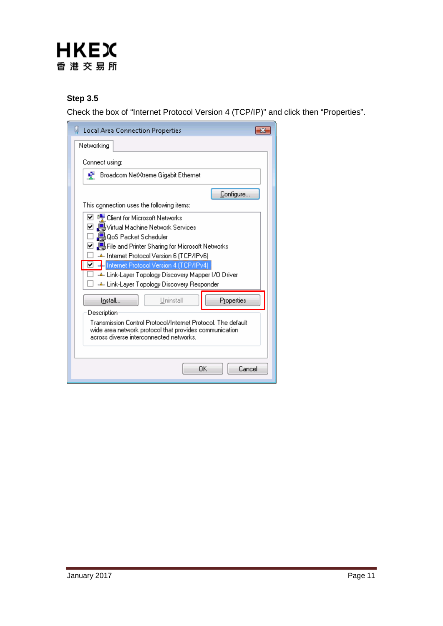# **HKEX** 香港交易所

#### **Step 3.5**

Check the box of "Internet Protocol Version 4 (TCP/IP)" and click then "Properties".

| <b>Local Area Connection Properties</b>                                                                                                                           |  |  |  |
|-------------------------------------------------------------------------------------------------------------------------------------------------------------------|--|--|--|
| Networking                                                                                                                                                        |  |  |  |
| Connect using:                                                                                                                                                    |  |  |  |
| Broadcom NetXtreme Gigabit Ethernet<br>÷                                                                                                                          |  |  |  |
| Configure                                                                                                                                                         |  |  |  |
| This connection uses the following items:                                                                                                                         |  |  |  |
| ☑ <sup>n</sup> Client for Microsoft Networks                                                                                                                      |  |  |  |
| ☑ . Services Machine Network Services                                                                                                                             |  |  |  |
| □ ■ QoS Packet Scheduler                                                                                                                                          |  |  |  |
| ☑ 의 Hile and Printer Sharing for Microsoft Networks                                                                                                               |  |  |  |
| ← Internet Protocol Version 6 (TCP/IPv6)                                                                                                                          |  |  |  |
| ◘ - Internet Protocol Version 4 (TCP/IPv4)                                                                                                                        |  |  |  |
| ← Link-Layer Topology Discovery Mapper I/O Driver                                                                                                                 |  |  |  |
|                                                                                                                                                                   |  |  |  |
|                                                                                                                                                                   |  |  |  |
| Properties<br>Uninstall<br>Install                                                                                                                                |  |  |  |
| Description                                                                                                                                                       |  |  |  |
| Transmission Control Protocol/Internet Protocol. The default<br>wide area network protocol that provides communication<br>across diverse interconnected networks. |  |  |  |
|                                                                                                                                                                   |  |  |  |
| ΩK<br>Cancel                                                                                                                                                      |  |  |  |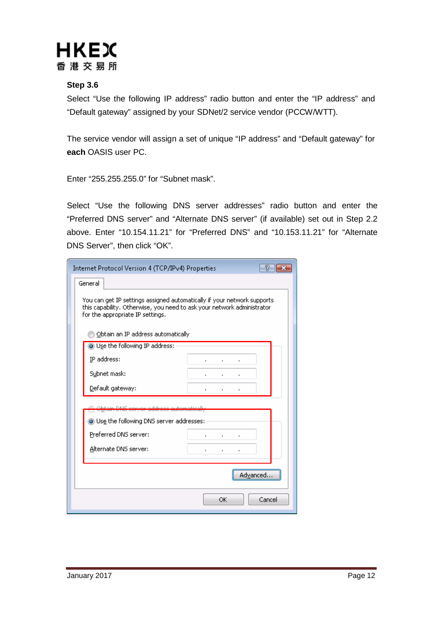

#### **Step 3.6**

Select "Use the following IP address" radio button and enter the "IP address" and "Default gateway" assigned by your SDNet/2 service vendor (PCCW/WTT).

The service vendor will assign a set of unique "IP address" and "Default gateway" for **each** OASIS user PC.

Enter "255.255.255.0" for "Subnet mask".

Select "Use the following DNS server addresses" radio button and enter the "Preferred DNS server" and "Alternate DNS server" (if available) set out in Step 2.2 above. Enter "10.154.11.21" for "Preferred DNS" and "10.153.11.21" for "Alternate DNS Server", then click "OK".

| Internet Protocol Version 4 (TCP/IPv4) Properties                                                                                                                                     | R                                                |  |  |
|---------------------------------------------------------------------------------------------------------------------------------------------------------------------------------------|--------------------------------------------------|--|--|
| General                                                                                                                                                                               |                                                  |  |  |
| You can get IP settings assigned automatically if your network supports<br>this capability. Otherwise, you need to ask your network administrator<br>for the appropriate IP settings. |                                                  |  |  |
| Obtain an IP address automatically                                                                                                                                                    |                                                  |  |  |
| Use the following IP address:                                                                                                                                                         |                                                  |  |  |
| IP address:                                                                                                                                                                           |                                                  |  |  |
| Subnet mask:                                                                                                                                                                          | $\blacksquare$                                   |  |  |
| Default gateway:                                                                                                                                                                      | $\blacksquare$                                   |  |  |
| elezo g <u>an washe wew while</u><br><u> A shi an tarafar a shekara ta 1989 ta 1989 a tsara</u>                                                                                       |                                                  |  |  |
| Use the following DNS server addresses:                                                                                                                                               |                                                  |  |  |
| Preferred DNS server:                                                                                                                                                                 | $\mathbf{r}$<br>٠                                |  |  |
| Alternate DNS server:                                                                                                                                                                 | $\mathbf{r}$<br>$\blacksquare$<br>$\blacksquare$ |  |  |
|                                                                                                                                                                                       | Advanced                                         |  |  |
|                                                                                                                                                                                       | OK<br>Cancel                                     |  |  |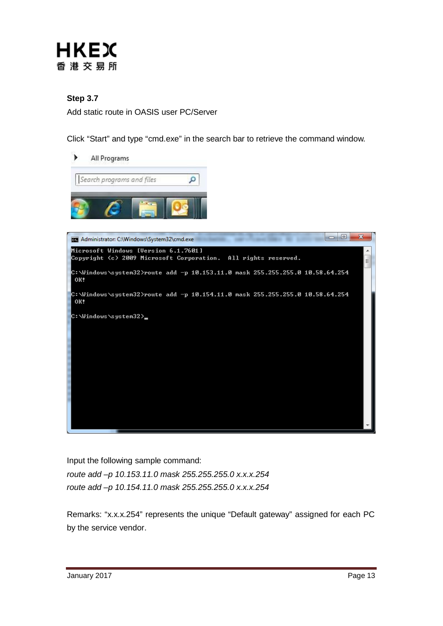

#### **Step 3.7**

Add static route in OASIS user PC/Server

Click "Start" and type "cmd.exe" in the search bar to retrieve the command window.



Input the following sample command: *route add –p 10.153.11.0 mask 255.255.255.0 x.x.x.254 route add –p 10.154.11.0 mask 255.255.255.0 x.x.x.254*

Remarks: "x.x.x.254" represents the unique "Default gateway" assigned for each PC by the service vendor.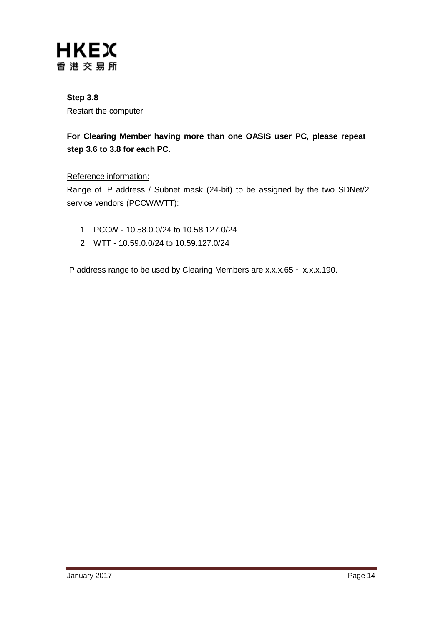

## **Step 3.8** Restart the computer

## **For Clearing Member having more than one OASIS user PC, please repeat step 3.6 to 3.8 for each PC.**

#### Reference information:

Range of IP address / Subnet mask (24-bit) to be assigned by the two SDNet/2 service vendors (PCCW/WTT):

- 1. PCCW 10.58.0.0/24 to 10.58.127.0/24
- 2. WTT 10.59.0.0/24 to 10.59.127.0/24

IP address range to be used by Clearing Members are x.x.x.65 ~ x.x.x.190.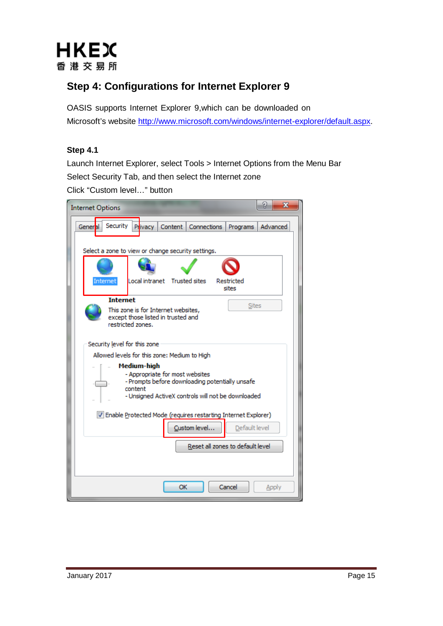

# **Step 4: Configurations for Internet Explorer 9**

OASIS supports Internet Explorer 9,which can be downloaded on Microsoft's website [http://www.microsoft.com/windows/internet-explorer/default.aspx.](http://www.microsoft.com/windows/internet-explorer/default.aspx)

#### **Step 4.1**

Launch Internet Explorer, select Tools > Internet Options from the Menu Bar Select Security Tab, and then select the Internet zone Click "Custom level…" button

| 8<br>х<br><b>Internet Options</b>                                                                                                                                  |  |  |  |  |
|--------------------------------------------------------------------------------------------------------------------------------------------------------------------|--|--|--|--|
| Security<br>Privacy<br>Content  <br>Connections<br>Advanced<br>General<br>Programs                                                                                 |  |  |  |  |
|                                                                                                                                                                    |  |  |  |  |
| Select a zone to view or change security settings.                                                                                                                 |  |  |  |  |
|                                                                                                                                                                    |  |  |  |  |
| Internet<br>Local intranet Trusted sites<br>Restricted<br>sites                                                                                                    |  |  |  |  |
| <b>Internet</b>                                                                                                                                                    |  |  |  |  |
| <b>Sites</b><br>This zone is for Internet websites,<br>except those listed in trusted and<br>restricted zones.                                                     |  |  |  |  |
| Security level for this zone                                                                                                                                       |  |  |  |  |
| Allowed levels for this zone: Medium to High                                                                                                                       |  |  |  |  |
| Medium-high<br>- Appropriate for most websites<br>- Prompts before downloading potentially unsafe<br>content<br>- Unsigned ActiveX controls will not be downloaded |  |  |  |  |
| V Enable Protected Mode (requires restarting Internet Explorer)<br>Custom level<br>Default level                                                                   |  |  |  |  |
| Reset all zones to default level                                                                                                                                   |  |  |  |  |
|                                                                                                                                                                    |  |  |  |  |
| OK<br>Cancel<br>Apply                                                                                                                                              |  |  |  |  |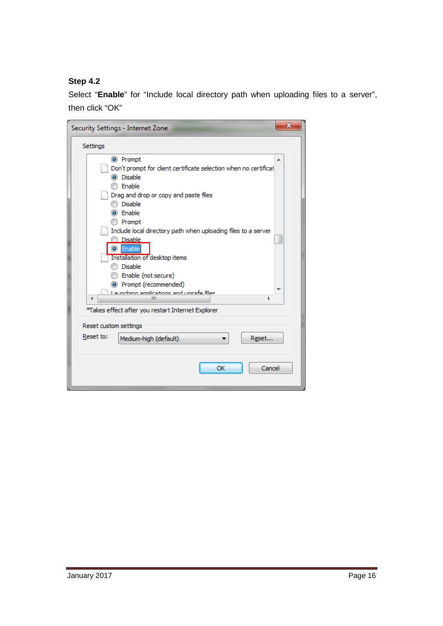## **Step 4.2**

Select "**Enable**" for "Include local directory path when uploading files to a server", then click "OK"

| Security Settings - Internet Zone                                                       | x |
|-----------------------------------------------------------------------------------------|---|
| Settings                                                                                |   |
| O Prompt                                                                                |   |
| Don't prompt for client certificate selection when no certificat<br>i Disable<br>Enable |   |
|                                                                                         |   |
| Drag and drop or copy and paste files<br><b>Disable</b>                                 |   |
| (a) Enable                                                                              |   |
|                                                                                         |   |
| <b>Prompt</b>                                                                           |   |
| Include local directory path when uploading files to a server<br><b>Disable</b>         |   |
| Enable<br>$\bullet$                                                                     |   |
| Installation of desktop items                                                           |   |
| <b>Disable</b>                                                                          |   |
| Enable (not secure)                                                                     |   |
| (C) Prompt (recommended)                                                                |   |
| Launching annications and unsafe files.                                                 |   |
| ∢<br>ш                                                                                  |   |
| *Takes effect after you restart Internet Explorer                                       |   |
| Reset custom settings                                                                   |   |
| Reset to:<br>Reset<br>Medium-high (default)                                             |   |
|                                                                                         |   |
| ОК<br>Cancel                                                                            |   |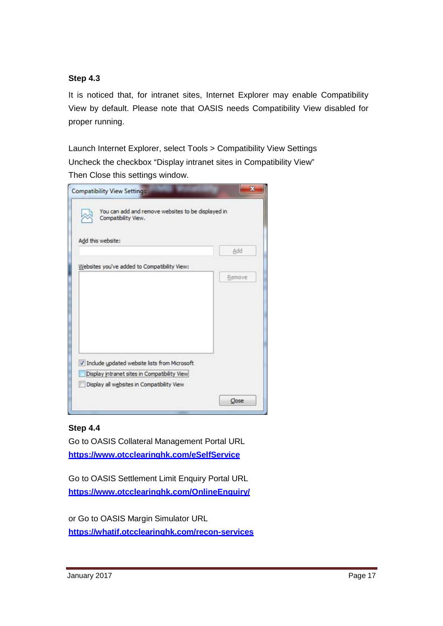#### **Step 4.3**

It is noticed that, for intranet sites, Internet Explorer may enable Compatibility View by default. Please note that OASIS needs Compatibility View disabled for proper running.

Launch Internet Explorer, select Tools > Compatibility View Settings Uncheck the checkbox "Display intranet sites in Compatibility View" Then Close this settings window.

| You can add and remove websites to be displayed in<br>Compatibility View. |        |
|---------------------------------------------------------------------------|--------|
| Add this website:                                                         |        |
|                                                                           | Add    |
| Websites you've added to Compatibility View:                              |        |
|                                                                           | Remove |
|                                                                           |        |
|                                                                           |        |
|                                                                           |        |
|                                                                           |        |
|                                                                           |        |
|                                                                           |        |
| V Include updated website lists from Microsoft                            |        |
| Display intranet sites in Compatibility View                              |        |
| Display all websites in Compatibility View                                |        |

#### **Step 4.4**

Go to OASIS Collateral Management Portal URL **<https://www.otcclearinghk.com/eSelfService>**

Go to OASIS Settlement Limit Enquiry Portal URL **[https://www.otcclearinghk.com/OnlineEnquiry/](https://www.otcclearinghk.com/OnlineEnquiry)**

or Go to OASIS Margin Simulator URL **<https://whatif.otcclearinghk.com/recon-services>**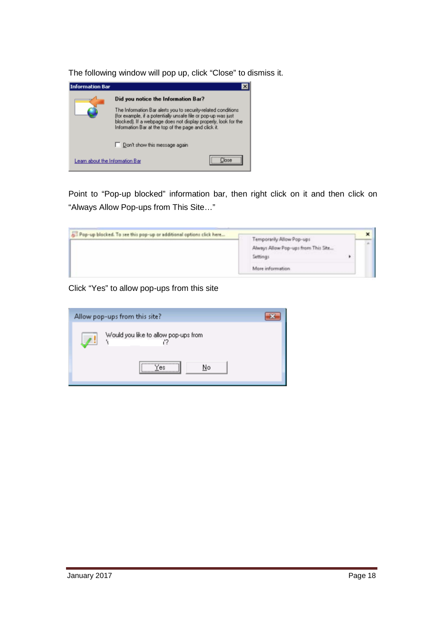The following window will pop up, click "Close" to dismiss it.



Point to "Pop-up blocked" information bar, then right click on it and then click on "Always Allow Pop-ups from This Site…"

| Pap-up blocked. To see this pop-up or additional options click here |                                                                  |   |  |  |
|---------------------------------------------------------------------|------------------------------------------------------------------|---|--|--|
|                                                                     | Temporarily Allow Pop-ups<br>Always Allow Pop-ups from This Site |   |  |  |
|                                                                     | Settings                                                         | ٠ |  |  |
|                                                                     | More information.                                                |   |  |  |

Click "Yes" to allow pop-ups from this site

| Allow pop-ups from this site?                         |
|-------------------------------------------------------|
| Would you like to allow pop-ups from<br>$\mathcal{F}$ |
| ,,,,,,,,,,,,,,,,,,,,,,,,,,,,,,,,,<br>No<br>es:        |